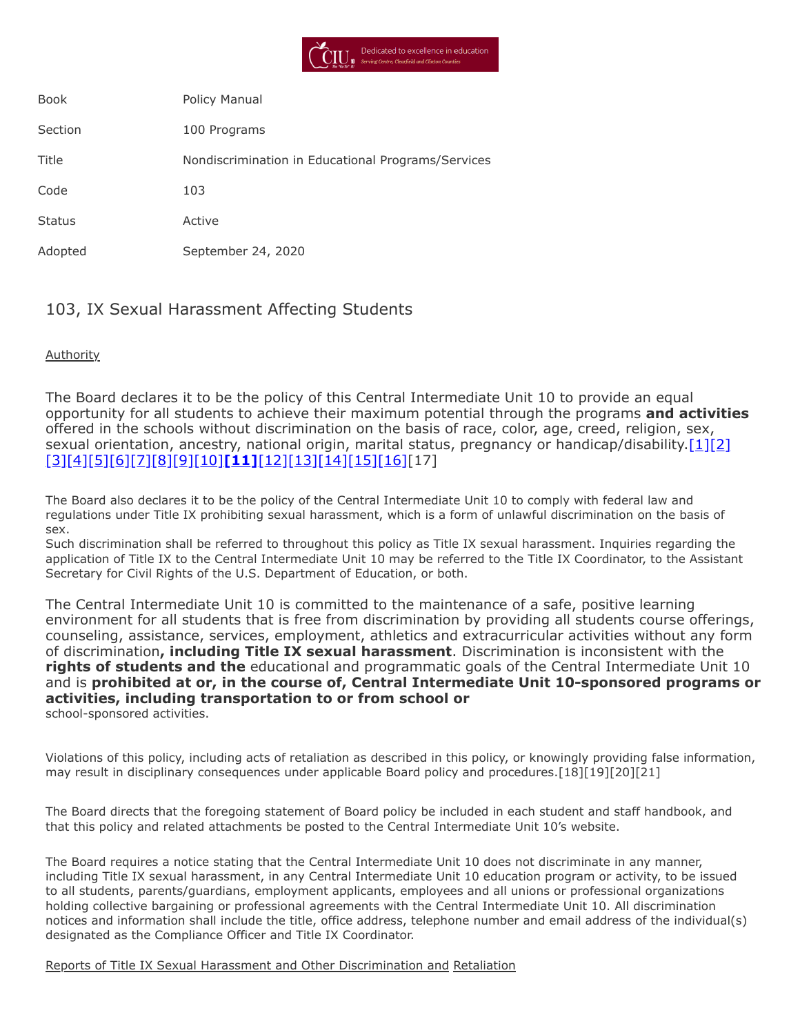

| <b>Book</b>   | Policy Manual                                      |
|---------------|----------------------------------------------------|
| Section       | 100 Programs                                       |
| Title         | Nondiscrimination in Educational Programs/Services |
| Code          | 103                                                |
| <b>Status</b> | Active                                             |
| Adopted       | September 24, 2020                                 |

# 103, IX Sexual Harassment Affecting Students

**Authority** 

The Board declares it to be the policy of this Central Intermediate Unit 10 to provide an equal opportunity for all students to achieve their maximum potential through the programs **and activities** offered in the schools without discrimination on the basis of race, color, age, creed, religion, sex, sexual orientation, ancestry, national origin, marital status, pregnancy or handicap/disability[.\[1\]](http://pacodeandbulletin.gov/Display/pacode?file=/secure/pacode/data/022/chapter12/s12.1.html&d=reduce)[\[2\]](http://pacodeandbulletin.gov/Display/pacode?file=/secure/pacode/data/022/chapter12/s12.4.html&d=reduce) [\[3\]](http://pacodeandbulletin.gov/Display/pacode?file=/secure/pacode/data/022/chapter15/chap15toc.html&d)[\[4\]](http://pacodeandbulletin.gov/Display/pacode?file=/secure/pacode/data/022/chapter4/s4.4.html&d=reduce)[\[5\]](http://www.legis.state.pa.us/cfdocs/legis/LI/uconsCheck.cfm?txtType=HTM&yr=1949&sessInd=0&smthLwInd=0&act=14&chpt=13&sctn=1&subsctn=0)[\[6\]](http://www.legis.state.pa.us/cfdocs/legis/LI/uconsCheck.cfm?txtType=HTM&yr=1949&sessInd=0&smthLwInd=0&act=14&chpt=13&sctn=10&subsctn=0)[\[7\]](http://www.legis.state.pa.us/cfdocs/legis/LI/uconsCheck.cfm?txtType=HTM&yr=1949&sessInd=0&smthLwInd=0&act=014&chpt=16C)[\[8\]](http://www.legis.state.pa.us/cfdocs/legis/LI/uconsCheck.cfm?txtType=HTM&yr=1961&sessInd=0&smthLwInd=0&act=341&chpt=0&sctn=4&subsctn=0)[\[9\]](http://www.legis.state.pa.us/cfdocs/Legis/LI/uconsCheck.cfm?txtType=HTM&yr=1955&sessInd=0&smthLwInd=0&act=0222)[\[10\]](http://www.law.cornell.edu/uscode/text/20/chapter-38)**[\[11\]](http://www.law.cornell.edu/cfr/text/34/part-106)**[\[12\]](http://www.law.cornell.edu/uscode/text/29/794)[\[13\]](http://www.law.cornell.edu/uscode/text/42/chapter-126)[\[14\]](http://www.law.cornell.edu/uscode/text/42/chapter-21/subchapter-I)[\[15\]](http://www.law.cornell.edu/uscode/text/42/chapter-21/subchapter-V)[\[16\]](https://www.law.cornell.edu/constitution/amendmentxiv)[17]

The Board also declares it to be the policy of the Central Intermediate Unit 10 to comply with federal law and regulations under Title IX prohibiting sexual harassment, which is a form of unlawful discrimination on the basis of sex.

Such discrimination shall be referred to throughout this policy as Title IX sexual harassment. Inquiries regarding the application of Title IX to the Central Intermediate Unit 10 may be referred to the Title IX Coordinator, to the Assistant Secretary for Civil Rights of the U.S. Department of Education, or both.

The Central Intermediate Unit 10 is committed to the maintenance of a safe, positive learning environment for all students that is free from discrimination by providing all students course offerings, counseling, assistance, services, employment, athletics and extracurricular activities without any form of discrimination**, including Title IX sexual harassment**. Discrimination is inconsistent with the **rights of students and the** educational and programmatic goals of the Central Intermediate Unit 10 and is **prohibited at or, in the course of, Central Intermediate Unit 10-sponsored programs or activities, including transportation to or from school or** school-sponsored activities.

Violations of this policy, including acts of retaliation as described in this policy, or knowingly providing false information, may result in disciplinary consequences under applicable Board policy and procedures.[18][19][20][21]

The Board directs that the foregoing statement of Board policy be included in each student and staff handbook, and that this policy and related attachments be posted to the Central Intermediate Unit 10's website.

The Board requires a notice stating that the Central Intermediate Unit 10 does not discriminate in any manner, including Title IX sexual harassment, in any Central Intermediate Unit 10 education program or activity, to be issued to all students, parents/guardians, employment applicants, employees and all unions or professional organizations holding collective bargaining or professional agreements with the Central Intermediate Unit 10. All discrimination notices and information shall include the title, office address, telephone number and email address of the individual(s) designated as the Compliance Officer and Title IX Coordinator.

Reports of Title IX Sexual Harassment and Other Discrimination and Retaliation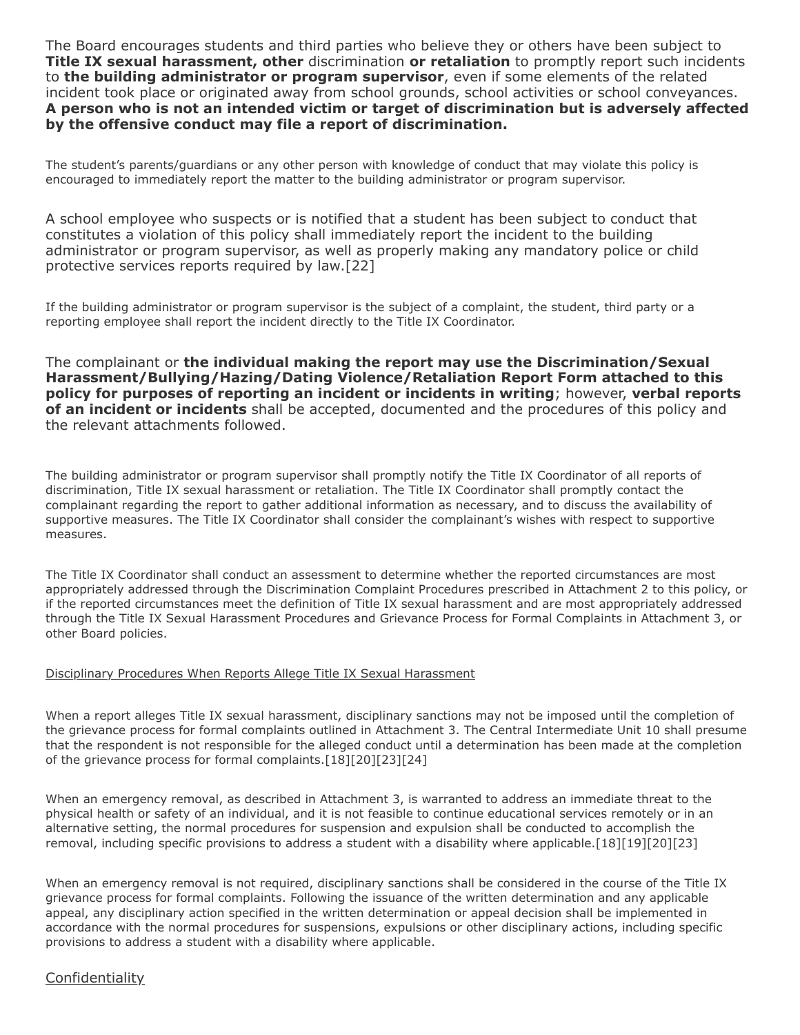The Board encourages students and third parties who believe they or others have been subject to **Title IX sexual harassment, other** discrimination **or retaliation** to promptly report such incidents to **the building administrator or program supervisor**, even if some elements of the related incident took place or originated away from school grounds, school activities or school conveyances. **A person who is not an intended victim or target of discrimination but is adversely affected by the offensive conduct may file a report of discrimination.**

The student's parents/guardians or any other person with knowledge of conduct that may violate this policy is encouraged to immediately report the matter to the building administrator or program supervisor.

A school employee who suspects or is notified that a student has been subject to conduct that constitutes a violation of this policy shall immediately report the incident to the building administrator or program supervisor, as well as properly making any mandatory police or child protective services reports required by law.[22]

If the building administrator or program supervisor is the subject of a complaint, the student, third party or a reporting employee shall report the incident directly to the Title IX Coordinator.

The complainant or **the individual making the report may use the Discrimination/Sexual Harassment/Bullying/Hazing/Dating Violence/Retaliation Report Form attached to this policy for purposes of reporting an incident or incidents in writing**; however, **verbal reports of an incident or incidents** shall be accepted, documented and the procedures of this policy and the relevant attachments followed.

The building administrator or program supervisor shall promptly notify the Title IX Coordinator of all reports of discrimination, Title IX sexual harassment or retaliation. The Title IX Coordinator shall promptly contact the complainant regarding the report to gather additional information as necessary, and to discuss the availability of supportive measures. The Title IX Coordinator shall consider the complainant's wishes with respect to supportive measures.

The Title IX Coordinator shall conduct an assessment to determine whether the reported circumstances are most appropriately addressed through the Discrimination Complaint Procedures prescribed in Attachment 2 to this policy, or if the reported circumstances meet the definition of Title IX sexual harassment and are most appropriately addressed through the Title IX Sexual Harassment Procedures and Grievance Process for Formal Complaints in Attachment 3, or other Board policies.

#### Disciplinary Procedures When Reports Allege Title IX Sexual Harassment

When a report alleges Title IX sexual harassment, disciplinary sanctions may not be imposed until the completion of the grievance process for formal complaints outlined in Attachment 3. The Central Intermediate Unit 10 shall presume that the respondent is not responsible for the alleged conduct until a determination has been made at the completion of the grievance process for formal complaints.[18][20][23][24]

When an emergency removal, as described in Attachment 3, is warranted to address an immediate threat to the physical health or safety of an individual, and it is not feasible to continue educational services remotely or in an alternative setting, the normal procedures for suspension and expulsion shall be conducted to accomplish the removal, including specific provisions to address a student with a disability where applicable.[18][19][20][23]

When an emergency removal is not required, disciplinary sanctions shall be considered in the course of the Title IX grievance process for formal complaints. Following the issuance of the written determination and any applicable appeal, any disciplinary action specified in the written determination or appeal decision shall be implemented in accordance with the normal procedures for suspensions, expulsions or other disciplinary actions, including specific provisions to address a student with a disability where applicable.

### **Confidentiality**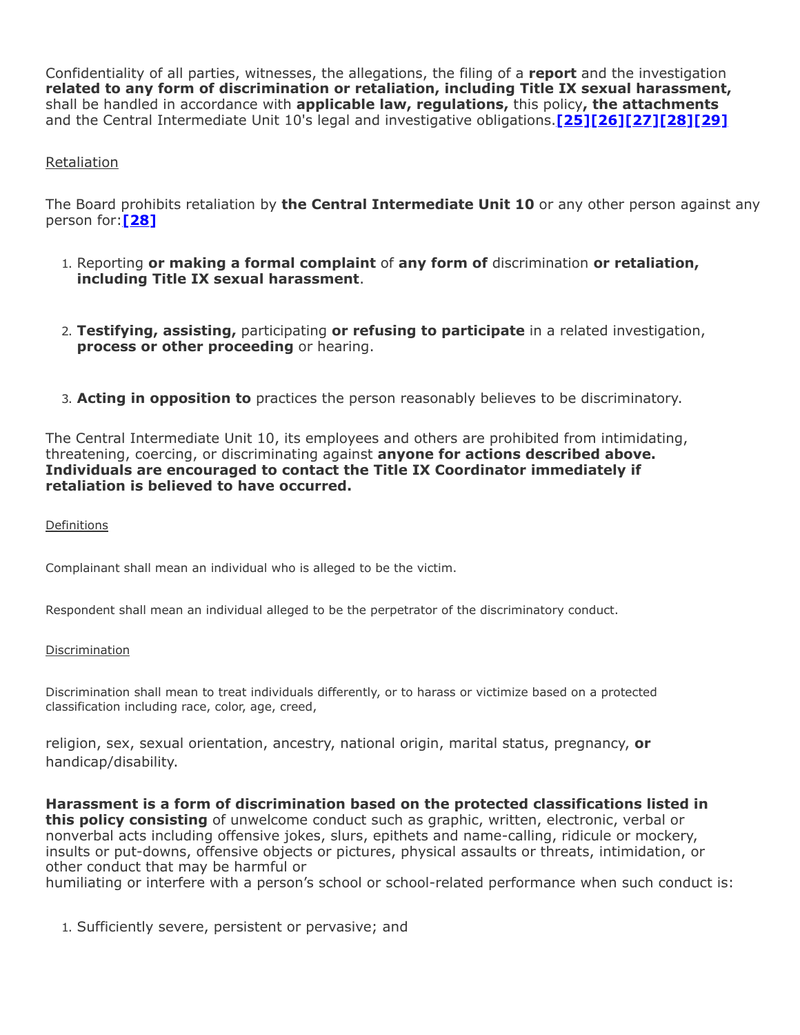Confidentiality of all parties, witnesses, the allegations, the filing of a **report** and the investigation **related to any form of discrimination or retaliation, including Title IX sexual harassment,** shall be handled in accordance with **applicable law, regulations,** this policy**, the attachments** and the Central Intermediate Unit 10's legal and investigative obligations.**[\[25\]](http://www.law.cornell.edu/uscode/text/20/1232g)[\[26\]\[27\]\[28\]](https://www.govinfo.gov/content/pkg/FR-2020-05-19/pdf/2020-10512.pdf)[\[29\]](http://www.law.cornell.edu/cfr/text/34/part-99)**

### Retaliation

The Board prohibits retaliation by **the Central Intermediate Unit 10** or any other person against any person for:**[\[28\]](https://www.govinfo.gov/content/pkg/FR-2020-05-19/pdf/2020-10512.pdf)**

- 1. Reporting **or making a formal complaint** of **any form of** discrimination **or retaliation, including Title IX sexual harassment**.
- 2. **Testifying, assisting,** participating **or refusing to participate** in a related investigation, **process or other proceeding** or hearing.
- 3. **Acting in opposition to** practices the person reasonably believes to be discriminatory.

The Central Intermediate Unit 10, its employees and others are prohibited from intimidating, threatening, coercing, or discriminating against **anyone for actions described above. Individuals are encouraged to contact the Title IX Coordinator immediately if retaliation is believed to have occurred.**

**Definitions** 

Complainant shall mean an individual who is alleged to be the victim.

Respondent shall mean an individual alleged to be the perpetrator of the discriminatory conduct.

#### **Discrimination**

Discrimination shall mean to treat individuals differently, or to harass or victimize based on a protected classification including race, color, age, creed,

religion, sex, sexual orientation, ancestry, national origin, marital status, pregnancy, **or** handicap/disability.

**Harassment is a form of discrimination based on the protected classifications listed in this policy consisting** of unwelcome conduct such as graphic, written, electronic, verbal or nonverbal acts including offensive jokes, slurs, epithets and name-calling, ridicule or mockery, insults or put-downs, offensive objects or pictures, physical assaults or threats, intimidation, or other conduct that may be harmful or

humiliating or interfere with a person's school or school-related performance when such conduct is:

1. Sufficiently severe, persistent or pervasive; and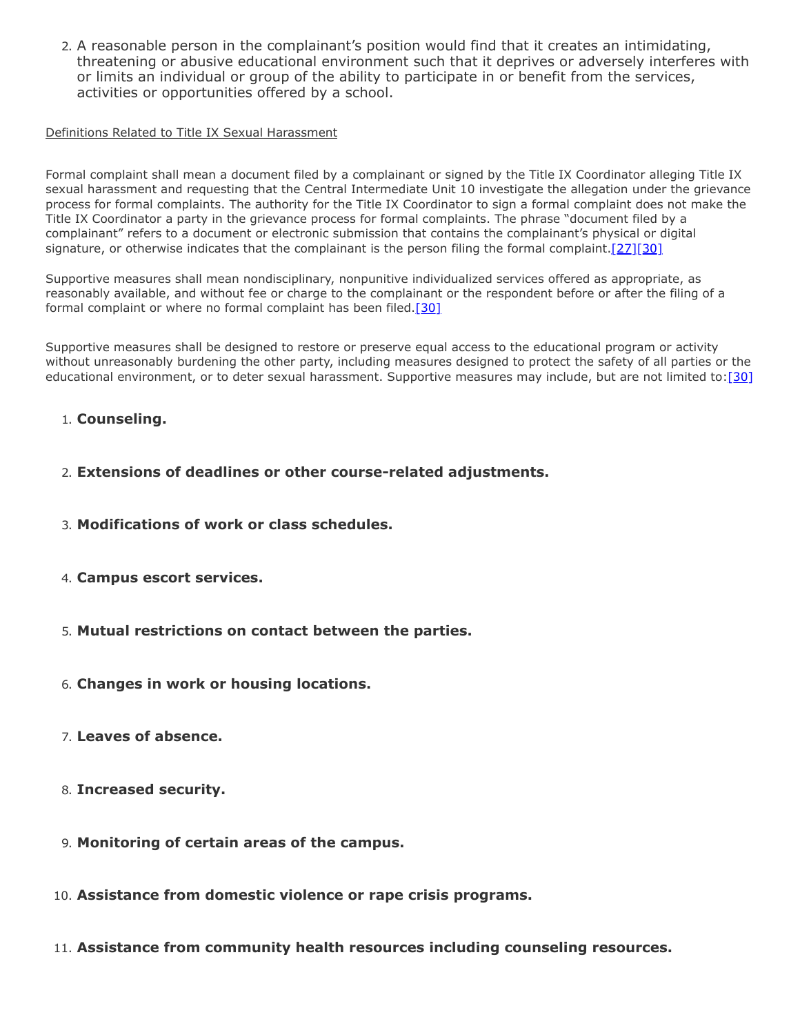2. A reasonable person in the complainant's position would find that it creates an intimidating, threatening or abusive educational environment such that it deprives or adversely interferes with or limits an individual or group of the ability to participate in or benefit from the services, activities or opportunities offered by a school.

### Definitions Related to Title IX Sexual Harassment

Formal complaint shall mean a document filed by a complainant or signed by the Title IX Coordinator alleging Title IX sexual harassment and requesting that the Central Intermediate Unit 10 investigate the allegation under the grievance process for formal complaints. The authority for the Title IX Coordinator to sign a formal complaint does not make the Title IX Coordinator a party in the grievance process for formal complaints. The phrase "document filed by a complainant" refers to a document or electronic submission that contains the complainant's physical or digital signature, or otherwise indicates that the complainant is the person filing the formal complaint.  $[27][30]$ 

Supportive measures shall mean nondisciplinary, nonpunitive individualized services offered as appropriate, as reasonably available, and without fee or charge to the complainant or the respondent before or after the filing of a formal complaint or where no formal complaint has been filed.<sup>[\[30\]](https://www.govinfo.gov/content/pkg/FR-2020-05-19/pdf/2020-10512.pdf)</sup>

Supportive measures shall be designed to restore or preserve equal access to the educational program or activity without unreasonably burdening the other party, including measures designed to protect the safety of all parties or the educational environment, or to deter sexual harassment. Supportive measures may include, but are not limited to: [30]

### 1. **Counseling.**

- 2. **Extensions of deadlines or other course-related adjustments.**
- 3. **Modifications of work or class schedules.**
- 4. **Campus escort services.**
- 5. **Mutual restrictions on contact between the parties.**
- 6. **Changes in work or housing locations.**
- 7. **Leaves of absence.**
- 8. **Increased security.**
- 9. **Monitoring of certain areas of the campus.**
- 10. **Assistance from domestic violence or rape crisis programs.**
- 11. **Assistance from community health resources including counseling resources.**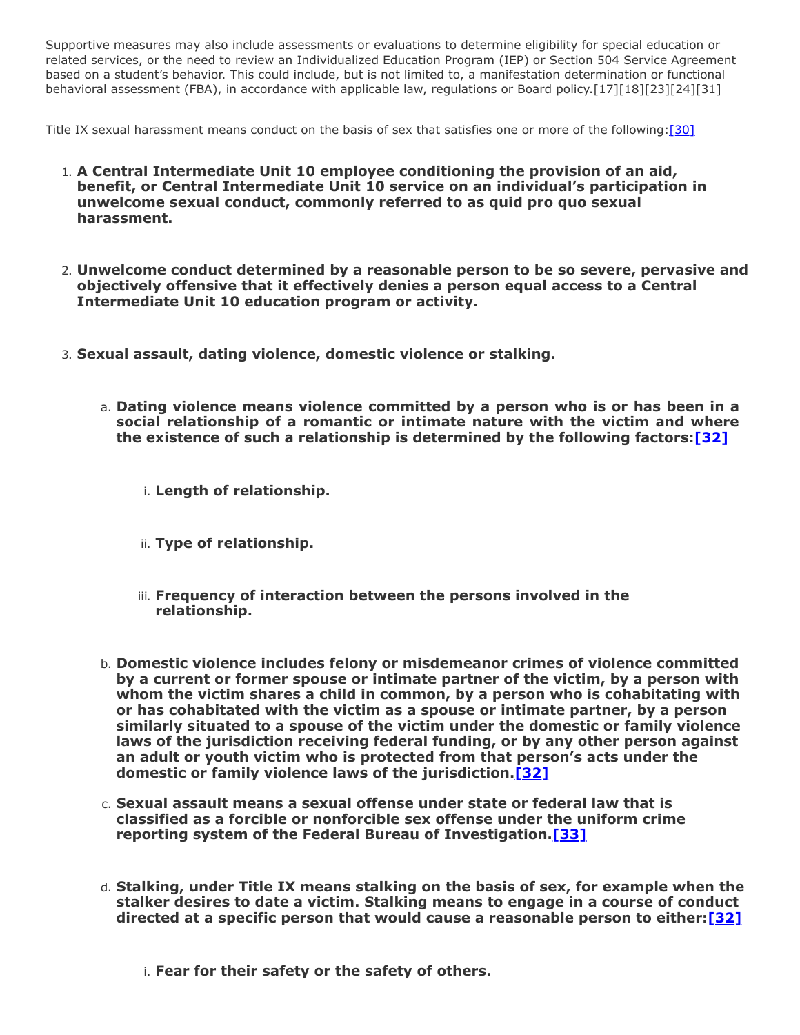Supportive measures may also include assessments or evaluations to determine eligibility for special education or related services, or the need to review an Individualized Education Program (IEP) or Section 504 Service Agreement based on a student's behavior. This could include, but is not limited to, a manifestation determination or functional behavioral assessment (FBA), in accordance with applicable law, regulations or Board policy.[17][18][23][24][31]

Title IX sexual harassment means conduct on the basis of sex that satisfies one or more of the following: [\[30\]](https://www.govinfo.gov/content/pkg/FR-2020-05-19/pdf/2020-10512.pdf)

- 1. **A Central Intermediate Unit 10 employee conditioning the provision of an aid, benefit, or Central Intermediate Unit 10 service on an individual's participation in unwelcome sexual conduct, commonly referred to as quid pro quo sexual harassment.**
- 2. **Unwelcome conduct determined by a reasonable person to be so severe, pervasive and objectively offensive that it effectively denies a person equal access to a Central Intermediate Unit 10 education program or activity.**
- 3. **Sexual assault, dating violence, domestic violence or stalking.**
	- a. **Dating violence means violence committed by a person who is or has been in a social relationship of a romantic or intimate nature with the victim and where the existence of such a relationship is determined by the following factors:[\[32\]](https://www.law.cornell.edu/uscode/text/34/12291)**

i. **Length of relationship.**

- ii. **Type of relationship.**
- iii. **Frequency of interaction between the persons involved in the relationship.**
- b. **Domestic violence includes felony or misdemeanor crimes of violence committed by a current or former spouse or intimate partner of the victim, by a person with whom the victim shares a child in common, by a person who is cohabitating with or has cohabitated with the victim as a spouse or intimate partner, by a person similarly situated to a spouse of the victim under the domestic or family violence laws of the jurisdiction receiving federal funding, or by any other person against an adult or youth victim who is protected from that person's acts under the domestic or family violence laws of the jurisdiction.[\[32\]](https://www.law.cornell.edu/uscode/text/34/12291)**
- c. **Sexual assault means a sexual offense under state or federal law that is classified as a forcible or nonforcible sex offense under the uniform crime reporting system of the Federal Bureau of Investigation.[\[33\]](https://www.law.cornell.edu/uscode/text/20/1092)**
- d. **Stalking, under Title IX means stalking on the basis of sex, for example when the stalker desires to date a victim. Stalking means to engage in a course of conduct directed at a specific person that would cause a reasonable person to either:[\[32\]](https://www.law.cornell.edu/uscode/text/34/12291)**
	- i. **Fear for their safety or the safety of others.**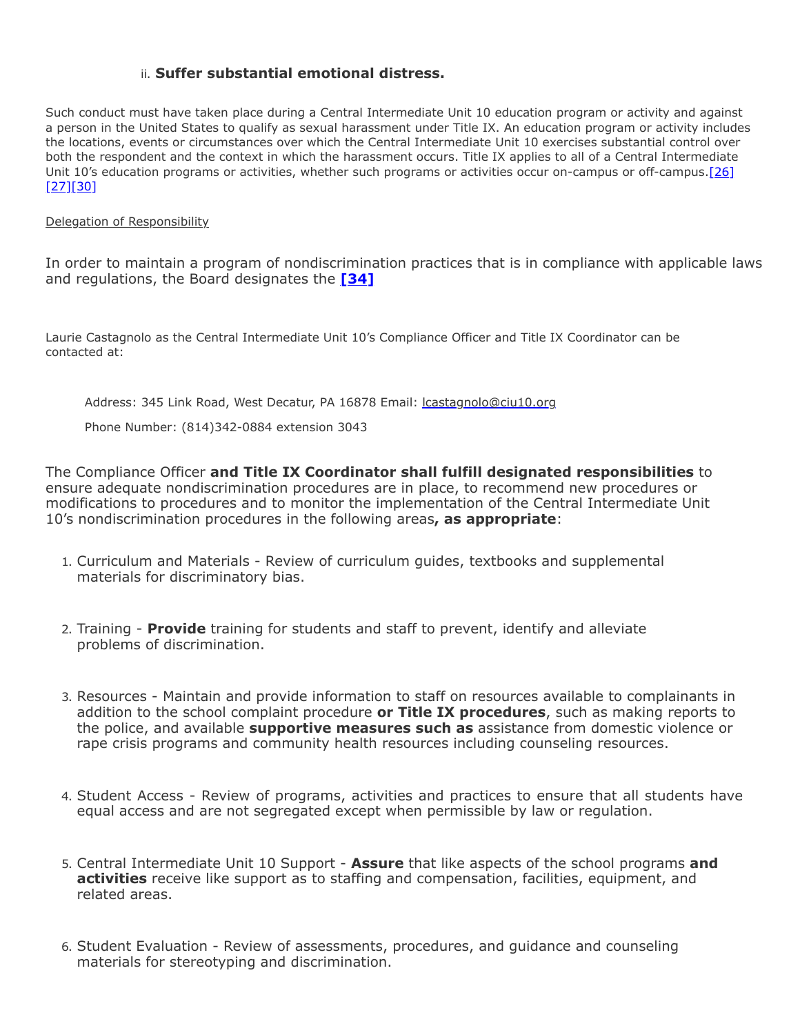## ii. **Suffer substantial emotional distress.**

Such conduct must have taken place during a Central Intermediate Unit 10 education program or activity and against a person in the United States to qualify as sexual harassment under Title IX. An education program or activity includes the locations, events or circumstances over which the Central Intermediate Unit 10 exercises substantial control over both the respondent and the context in which the harassment occurs. Title IX applies to all of a Central Intermediate [Unit 10's education programs or activities, whether such programs or activities occur on-campus or off-campus.\[26\]](https://www.govinfo.gov/content/pkg/FR-2020-05-19/pdf/2020-10512.pdf) [27][30]

#### Delegation of Responsibility

In order to maintain a program of nondiscrimination practices that is in compliance with applicable laws and regulations, the Board designates the **[\[34\]](https://www.govinfo.gov/content/pkg/FR-2020-05-19/pdf/2020-10512.pdf)**

Laurie Castagnolo as the Central Intermediate Unit 10's Compliance Officer and Title IX Coordinator can be contacted at:

Address: 345 Link Road, West Decatur, PA 16878 Email: [lcastagnolo@ciu10.org](mailto:lcastagnolo@ciu10.org)

Phone Number: (814)342-0884 extension 3043

The Compliance Officer **and Title IX Coordinator shall fulfill designated responsibilities** to ensure adequate nondiscrimination procedures are in place, to recommend new procedures or modifications to procedures and to monitor the implementation of the Central Intermediate Unit 10's nondiscrimination procedures in the following areas**, as appropriate**:

- 1. Curriculum and Materials Review of curriculum guides, textbooks and supplemental materials for discriminatory bias.
- 2. Training **Provide** training for students and staff to prevent, identify and alleviate problems of discrimination.
- 3. Resources Maintain and provide information to staff on resources available to complainants in addition to the school complaint procedure **or Title IX procedures**, such as making reports to the police, and available **supportive measures such as** assistance from domestic violence or rape crisis programs and community health resources including counseling resources.
- 4. Student Access Review of programs, activities and practices to ensure that all students have equal access and are not segregated except when permissible by law or regulation.
- 5. Central Intermediate Unit 10 Support **Assure** that like aspects of the school programs **and activities** receive like support as to staffing and compensation, facilities, equipment, and related areas.
- 6. Student Evaluation Review of assessments, procedures, and guidance and counseling materials for stereotyping and discrimination.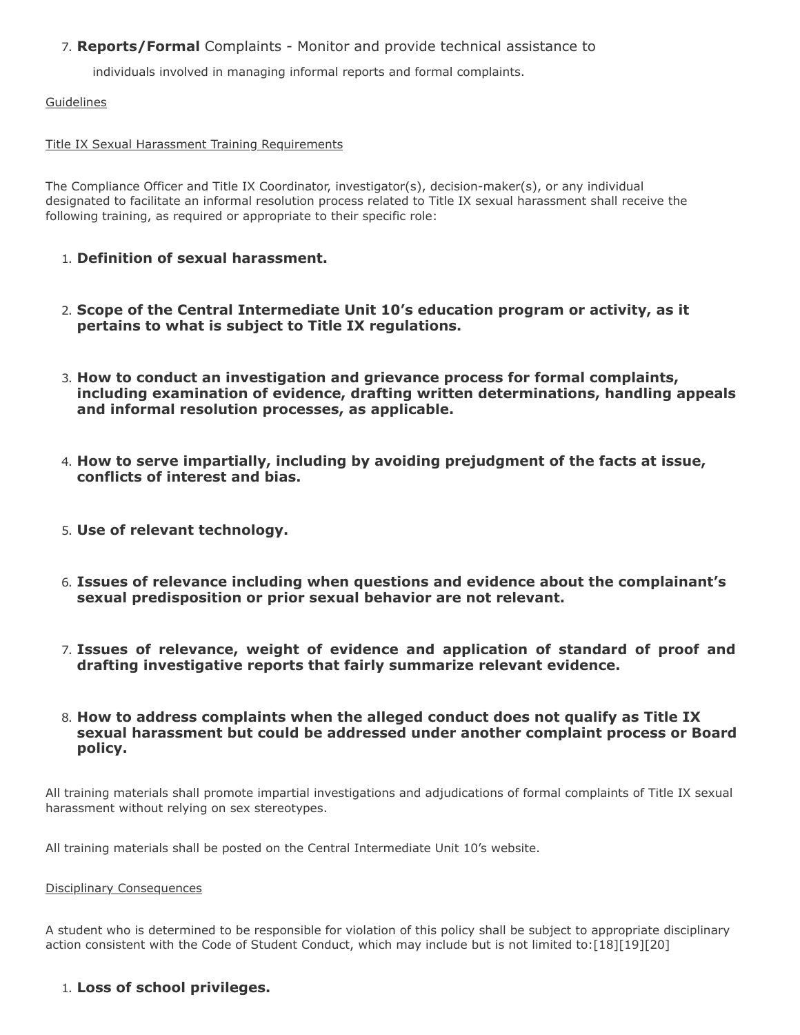## 7. **Reports/Formal** Complaints - Monitor and provide technical assistance to

individuals involved in managing informal reports and formal complaints.

**Guidelines** 

### Title IX Sexual Harassment Training Requirements

The Compliance Officer and Title IX Coordinator, investigator(s), decision-maker(s), or any individual designated to facilitate an informal resolution process related to Title IX sexual harassment shall receive the following training, as required or appropriate to their specific role:

- 1. **Definition of sexual harassment.**
- 2. **Scope of the Central Intermediate Unit 10's education program or activity, as it pertains to what is subject to Title IX regulations.**
- 3. **How to conduct an investigation and grievance process for formal complaints, including examination of evidence, drafting written determinations, handling appeals and informal resolution processes, as applicable.**
- 4. **How to serve impartially, including by avoiding prejudgment of the facts at issue, conflicts of interest and bias.**
- 5. **Use of relevant technology.**
- 6. **Issues of relevance including when questions and evidence about the complainant's sexual predisposition or prior sexual behavior are not relevant.**
- 7. **Issues of relevance, weight of evidence and application of standard of proof and drafting investigative reports that fairly summarize relevant evidence.**
- 8. **How to address complaints when the alleged conduct does not qualify as Title IX sexual harassment but could be addressed under another complaint process or Board policy.**

All training materials shall promote impartial investigations and adjudications of formal complaints of Title IX sexual harassment without relying on sex stereotypes.

All training materials shall be posted on the Central Intermediate Unit 10's website.

#### Disciplinary Consequences

A student who is determined to be responsible for violation of this policy shall be subject to appropriate disciplinary action consistent with the Code of Student Conduct, which may include but is not limited to:[18][19][20]

## 1. **Loss of school privileges.**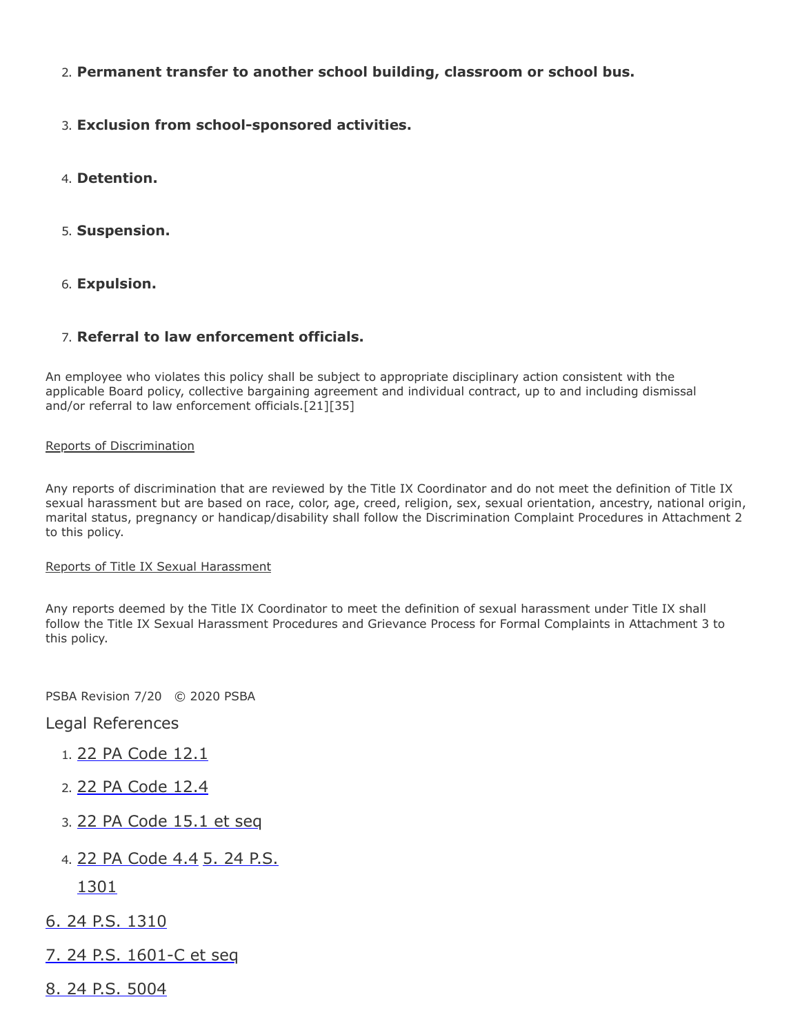- 2. **Permanent transfer to another school building, classroom or school bus.**
- 3. **Exclusion from school-sponsored activities.**
- 4. **Detention.**
- 5. **Suspension.**
- 6. **Expulsion.**

### 7. **Referral to law enforcement officials.**

An employee who violates this policy shall be subject to appropriate disciplinary action consistent with the applicable Board policy, collective bargaining agreement and individual contract, up to and including dismissal and/or referral to law enforcement officials.[21][35]

#### Reports of Discrimination

Any reports of discrimination that are reviewed by the Title IX Coordinator and do not meet the definition of Title IX sexual harassment but are based on race, color, age, creed, religion, sex, sexual orientation, ancestry, national origin, marital status, pregnancy or handicap/disability shall follow the Discrimination Complaint Procedures in Attachment 2 to this policy.

#### Reports of Title IX Sexual Harassment

Any reports deemed by the Title IX Coordinator to meet the definition of sexual harassment under Title IX shall follow the Title IX Sexual Harassment Procedures and Grievance Process for Formal Complaints in Attachment 3 to this policy.

PSBA Revision 7/20 © 2020 PSBA

Legal References

- 1. [22 PA Code 12.1](http://pacodeandbulletin.gov/Display/pacode?file=/secure/pacode/data/022/chapter12/s12.1.html&d=reduce)
- 2. [22 PA Code 12.4](http://pacodeandbulletin.gov/Display/pacode?file=/secure/pacode/data/022/chapter12/s12.4.html&d=reduce)
- 3. [22 PA Code 15.1 et seq](http://pacodeandbulletin.gov/Display/pacode?file=/secure/pacode/data/022/chapter15/chap15toc.html&d)
- 4. [22 PA Code 4.4](http://pacodeandbulletin.gov/Display/pacode?file=/secure/pacode/data/022/chapter4/s4.4.html&d=reduce) 5. 24 P.S.

1301

- [6. 24 P.S. 1310](http://www.legis.state.pa.us/cfdocs/legis/LI/uconsCheck.cfm?txtType=HTM&yr=1949&sessInd=0&smthLwInd=0&act=14&chpt=13&sctn=10&subsctn=0)
- [7. 24 P.S. 1601-C et seq](http://www.legis.state.pa.us/cfdocs/legis/LI/uconsCheck.cfm?txtType=HTM&yr=1949&sessInd=0&smthLwInd=0&act=014&chpt=16C)
- [8. 24 P.S. 5004](http://www.legis.state.pa.us/cfdocs/legis/LI/uconsCheck.cfm?txtType=HTM&yr=1961&sessInd=0&smthLwInd=0&act=341&chpt=0&sctn=4&subsctn=0)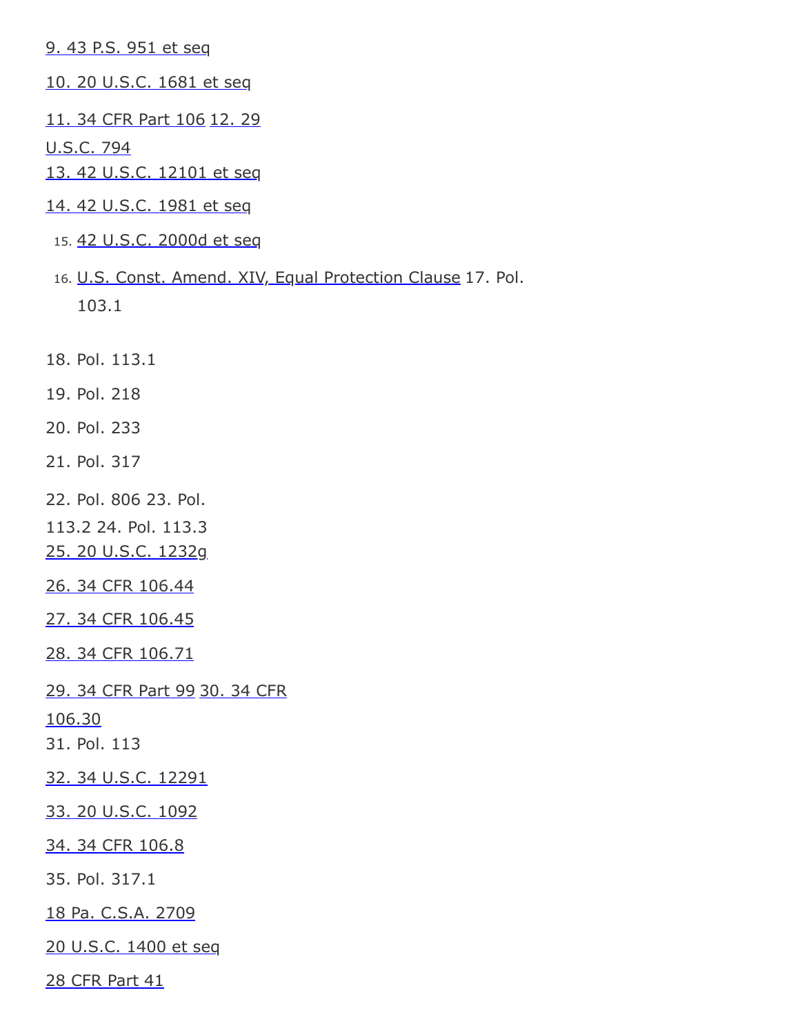[9. 43 P.S. 951 et seq](http://www.legis.state.pa.us/cfdocs/Legis/LI/uconsCheck.cfm?txtType=HTM&yr=1955&sessInd=0&smthLwInd=0&act=0222)

- [10. 20 U.S.C. 1681 et seq](http://www.law.cornell.edu/uscode/text/20/chapter-38)
- [11. 34 CFR Part 10](http://www.law.cornell.edu/cfr/text/34/part-106)[6](http://www.law.cornell.edu/uscode/text/29/794) 12. 29

U.S.C. 794

[13. 42 U.S.C. 12101 et seq](http://www.law.cornell.edu/uscode/text/42/chapter-126)

- [14. 42 U.S.C. 1981 et seq](http://www.law.cornell.edu/uscode/text/42/chapter-21/subchapter-I)
- 15. [42 U.S.C. 2000d et seq](http://www.law.cornell.edu/uscode/text/42/chapter-21/subchapter-V)
- 16. [U.S. Const. Amend. XIV, Equal Protection Clause](https://www.law.cornell.edu/constitution/amendmentxiv) 17. Pol. 103.1

18. Pol. 113.1

- 19. Pol. 218
- 20. Pol. 233

21. Pol. 317

22. Pol. 806 23. Pol.

113.2 24. Pol. 113.3

[25. 20 U.S.C. 1232g](http://www.law.cornell.edu/uscode/text/20/1232g)

[26. 34 CFR 106.44](https://www.govinfo.gov/content/pkg/FR-2020-05-19/pdf/2020-10512.pdf)

[27. 34 CFR 106.45](https://www.govinfo.gov/content/pkg/FR-2020-05-19/pdf/2020-10512.pdf)

[28. 34 CFR 106.71](https://www.govinfo.gov/content/pkg/FR-2020-05-19/pdf/2020-10512.pdf)

[29. 34 CFR Part 99](https://www.govinfo.gov/content/pkg/FR-2020-05-19/pdf/2020-10512.pdf) 30. 34 CFR

106.30

31. Pol. 113

[32. 34 U.S.C. 12291](https://www.law.cornell.edu/uscode/text/34/12291)

[33. 20 U.S.C. 1092](https://www.law.cornell.edu/uscode/text/20/1092)

[34. 34 CFR 106.8](https://www.govinfo.gov/content/pkg/FR-2020-05-19/pdf/2020-10512.pdf)

35. Pol. 317.1

[18 Pa. C.S.A. 2709](http://www.legis.state.pa.us/cfdocs/legis/LI/consCheck.cfm?txtType=HTM&ttl=18&div=0&chpt=27&sctn=9&subsctn=0)

[20 U.S.C. 1400 et seq](http://www.law.cornell.edu/uscode/text/20/chapter-33)

[28 CFR Part 41](http://www.law.cornell.edu/cfr/text/28/part-41)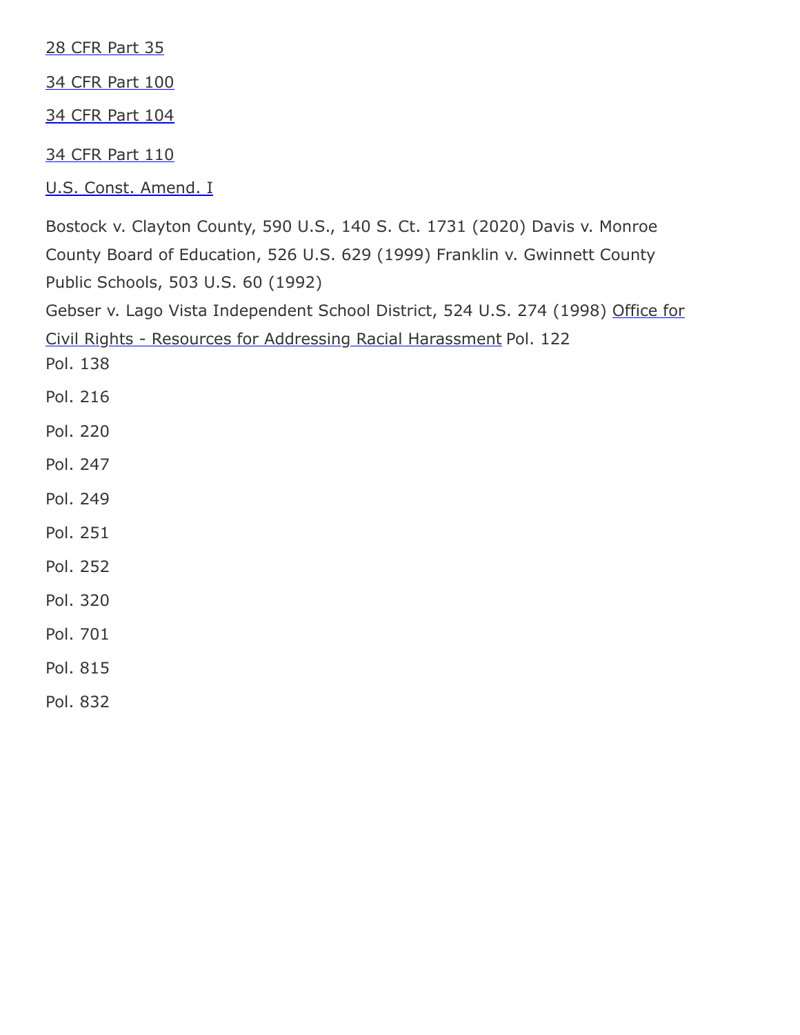[28 CFR Part 35](http://www.law.cornell.edu/cfr/text/28/part-35)

[34 CFR Part 100](http://www.law.cornell.edu/cfr/text/34/part-100)

[34 CFR Part 104](http://www.law.cornell.edu/cfr/text/34/part-104)

[34 CFR Part 110](http://www.law.cornell.edu/cfr/text/34/part-110)

[U.S. Const. Amend. I](https://www.law.cornell.edu/constitution/first_amendment)

Bostock v. Clayton County, 590 U.S., 140 S. Ct. 1731 (2020) Davis v. Monroe County Board of Education, 526 U.S. 629 (1999) Franklin v. Gwinnett County Public Schools, 503 U.S. 60 (1992)

[Gebser v. Lago Vista Independent School District, 524 U.S. 274 \(1998\) Office for](https://www2.ed.gov/about/offices/list/ocr/raceharassresources.html) Civil Rights - Resources for Addressing Racial Harassment Pol. 122

Pol. 138

- Pol. 216
- Pol. 220
- Pol. 247
- Pol. 249
- Pol. 251
- Pol. 252
- Pol. 320
- Pol. 701

Pol. 815

Pol. 832